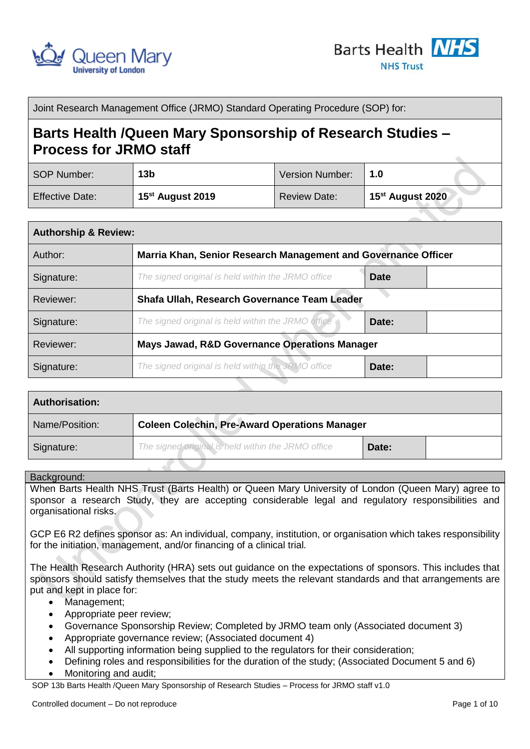



Joint Research Management Office (JRMO) Standard Operating Procedure (SOP) for:

# **Barts Health /Queen Mary Sponsorship of Research Studies – Process for JRMO staff**

| SOP Number:            | 13 <sub>b</sub>              | <b>Version Number:</b> | 1.0                          |
|------------------------|------------------------------|------------------------|------------------------------|
| <b>Effective Date:</b> | 15 <sup>st</sup> August 2019 | <b>Review Date:</b>    | 15 <sup>st</sup> August 2020 |

| <b>Authorship &amp; Review:</b> |                                                                |             |
|---------------------------------|----------------------------------------------------------------|-------------|
| Author:                         | Marria Khan, Senior Research Management and Governance Officer |             |
| Signature:                      | The signed original is held within the JRMO office             | <b>Date</b> |
| Reviewer:                       | Shafa Ullah, Research Governance Team Leader                   |             |
| Signature:                      | The signed original is held within the JRMO office             | Date:       |
| Reviewer:                       | Mays Jawad, R&D Governance Operations Manager                  |             |
| Signature:                      | The signed original is held within the JRMO office             | Date:       |

| <b>Authorisation:</b> |                                                      |       |  |
|-----------------------|------------------------------------------------------|-------|--|
| Name/Position:        | <b>Coleen Colechin, Pre-Award Operations Manager</b> |       |  |
| Signature:            | The signed original is held within the JRMO office   | Date: |  |

#### Background:

When Barts Health NHS Trust (Barts Health) or Queen Mary University of London (Queen Mary) agree to sponsor a research Study, they are accepting considerable legal and regulatory responsibilities and organisational risks.

GCP E6 R2 defines sponsor as: An individual, company, institution, or organisation which takes responsibility for the initiation, management, and/or financing of a clinical trial*.*

The Health Research Authority (HRA) sets out guidance on the expectations of sponsors. This includes that sponsors should satisfy themselves that the study meets the relevant standards and that arrangements are put and kept in place for:

- Management;
- Appropriate peer review;
- Governance Sponsorship Review; Completed by JRMO team only (Associated document 3)
- Appropriate governance review; (Associated document 4)
- All supporting information being supplied to the regulators for their consideration;
- Defining roles and responsibilities for the duration of the study; (Associated Document 5 and 6)
- Monitoring and audit;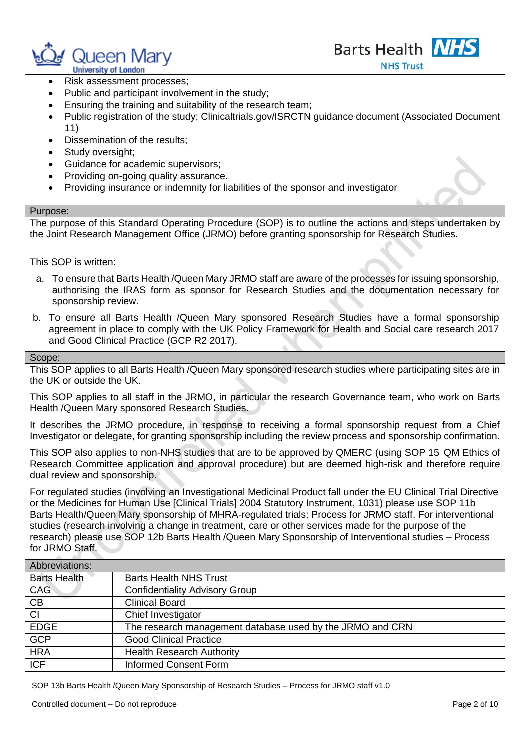



- Risk assessment processes;
- Public and participant involvement in the study;
- Ensuring the training and suitability of the research team;
- Public registration of the study; Clinicaltrials.gov/ISRCTN guidance document (Associated Document 11)
- Dissemination of the results;
- Study oversight:
- Guidance for academic supervisors;
- Providing on-going quality assurance.
- Providing insurance or indemnity for liabilities of the sponsor and investigator

### Purpose:

The purpose of this Standard Operating Procedure (SOP) is to outline the actions and steps undertaken by the Joint Research Management Office (JRMO) before granting sponsorship for Research Studies.

This SOP is written:

- a. To ensure that Barts Health /Queen Mary JRMO staff are aware of the processes for issuing sponsorship, authorising the IRAS form as sponsor for Research Studies and the documentation necessary for sponsorship review.
- b. To ensure all Barts Health /Queen Mary sponsored Research Studies have a formal sponsorship agreement in place to comply with the UK Policy Framework for Health and Social care research 2017 and Good Clinical Practice (GCP R2 2017).

#### Scope:

This SOP applies to all Barts Health /Queen Mary sponsored research studies where participating sites are in the UK or outside the UK.

This SOP applies to all staff in the JRMO, in particular the research Governance team, who work on Barts Health /Queen Mary sponsored Research Studies.

It describes the JRMO procedure, in response to receiving a formal sponsorship request from a Chief Investigator or delegate, for granting sponsorship including the review process and sponsorship confirmation.

This SOP also applies to non-NHS studies that are to be approved by QMERC (using SOP 15 QM Ethics of Research Committee application and approval procedure) but are deemed high-risk and therefore require dual review and sponsorship.

For regulated studies (involving an Investigational Medicinal Product fall under the EU Clinical Trial Directive or the Medicines for Human Use [Clinical Trials] 2004 Statutory Instrument, 1031) please use SOP 11b Barts Health/Queen Mary sponsorship of MHRA-regulated trials: Process for JRMO staff. For interventional studies (research involving a change in treatment, care or other services made for the purpose of the research) please use SOP 12b Barts Health /Queen Mary Sponsorship of Interventional studies – Process for JRMO Staff.

| Abbreviations:      |                                                           |  |
|---------------------|-----------------------------------------------------------|--|
| <b>Barts Health</b> | <b>Barts Health NHS Trust</b>                             |  |
| <b>CAG</b>          | <b>Confidentiality Advisory Group</b>                     |  |
| CB                  | <b>Clinical Board</b>                                     |  |
| <b>CI</b>           | Chief Investigator                                        |  |
| <b>EDGE</b>         | The research management database used by the JRMO and CRN |  |
| <b>GCP</b>          | <b>Good Clinical Practice</b>                             |  |
| <b>HRA</b>          | <b>Health Research Authority</b>                          |  |
| <b>ICF</b>          | <b>Informed Consent Form</b>                              |  |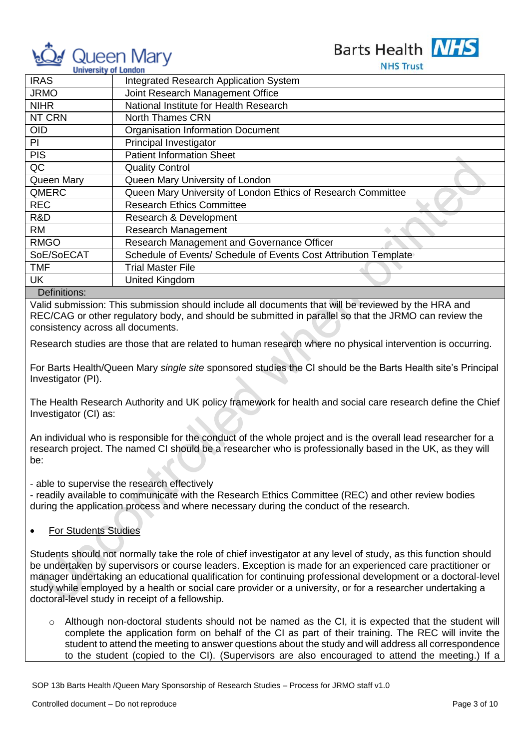

Barts Health NHS

**NHS Trust** 

| <b>University of London</b>                  | 1113 HUJL                                                        |
|----------------------------------------------|------------------------------------------------------------------|
| <b>IRAS</b>                                  | <b>Integrated Research Application System</b>                    |
| <b>JRMO</b>                                  | Joint Research Management Office                                 |
| <b>NIHR</b>                                  | National Institute for Health Research                           |
| NT CRN                                       | <b>North Thames CRN</b>                                          |
| <b>OID</b>                                   | <b>Organisation Information Document</b>                         |
| PI                                           | Principal Investigator                                           |
| <b>PIS</b>                                   | <b>Patient Information Sheet</b>                                 |
| QC                                           | <b>Quality Control</b>                                           |
| Queen Mary                                   | Queen Mary University of London                                  |
| QMERC                                        | Queen Mary University of London Ethics of Research Committee     |
| <b>REC</b>                                   | <b>Research Ethics Committee</b>                                 |
| R&D                                          | Research & Development                                           |
| <b>RM</b>                                    | Research Management                                              |
| <b>RMGO</b>                                  | Research Management and Governance Officer                       |
| SoE/SoECAT                                   | Schedule of Events/ Schedule of Events Cost Attribution Template |
| TMF                                          | <b>Trial Master File</b>                                         |
| UK                                           | United Kingdom                                                   |
| $\mathbf{D}$ . $\mathbf{C}$ . $\mathbf{C}$ . |                                                                  |

#### Definitions:

Valid submission: This submission should include all documents that will be reviewed by the HRA and REC/CAG or other regulatory body, and should be submitted in parallel so that the JRMO can review the consistency across all documents.

Research studies are those that are related to human research where no physical intervention is occurring.

For Barts Health/Queen Mary *single site* sponsored studies the CI should be the Barts Health site's Principal Investigator (PI).

The Health Research Authority and UK policy framework for health and social care research define the Chief Investigator (CI) as:

An individual who is responsible for the conduct of the whole project and is the overall lead researcher for a research project. The named CI should be a researcher who is professionally based in the UK, as they will be:

- able to supervise the research effectively

 - readily available to communicate with the Research Ethics Committee (REC) and other review bodies during the application process and where necessary during the conduct of the research.

For Students Studies

Students should not normally take the role of chief investigator at any level of study, as this function should be undertaken by supervisors or course leaders. Exception is made for an experienced care practitioner or manager undertaking an educational qualification for continuing professional development or a doctoral-level study while employed by a health or social care provider or a university, or for a researcher undertaking a doctoral-level study in receipt of a fellowship.

 $\circ$  Although non-doctoral students should not be named as the CI, it is expected that the student will complete the application form on behalf of the CI as part of their training. The REC will invite the student to attend the meeting to answer questions about the study and will address all correspondence to the student (copied to the CI). (Supervisors are also encouraged to attend the meeting.) If a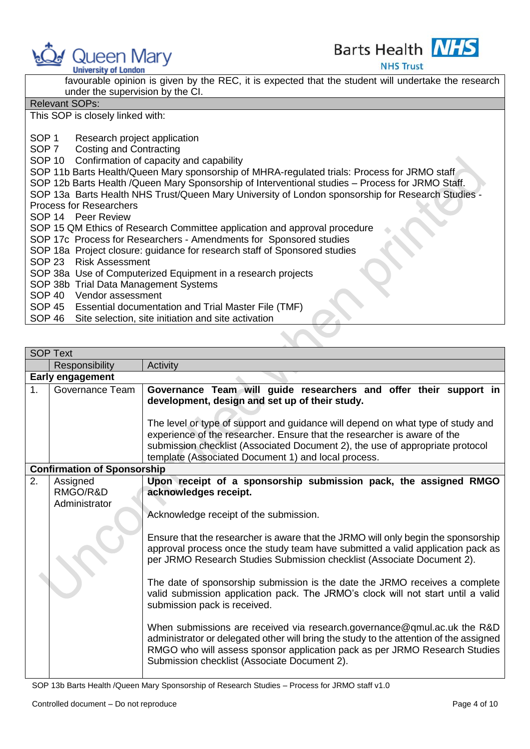



**University of London** 

**NHS Trust** 

|                       | favourable opinion is given by the REC, it is expected that the student will undertake the research |  |  |
|-----------------------|-----------------------------------------------------------------------------------------------------|--|--|
|                       | under the supervision by the CI.                                                                    |  |  |
| <b>Relevant SOPs:</b> |                                                                                                     |  |  |
|                       | This SOP is closely linked with:                                                                    |  |  |
|                       |                                                                                                     |  |  |
| SOP <sub>1</sub>      | Research project application                                                                        |  |  |
|                       | SOP 7 Costing and Contracting                                                                       |  |  |
|                       | SOP 10 Confirmation of capacity and capability                                                      |  |  |
|                       | SOP 11b Barts Health/Queen Mary sponsorship of MHRA-regulated trials: Process for JRMO staff        |  |  |
|                       | SOP 12b Barts Health /Queen Mary Sponsorship of Interventional studies – Process for JRMO Staff.    |  |  |
|                       | SOP 13a Barts Health NHS Trust/Queen Mary University of London sponsorship for Research Studies -   |  |  |
|                       | <b>Process for Researchers</b>                                                                      |  |  |
|                       | SOP 14 Peer Review                                                                                  |  |  |
|                       | SOP 15 QM Ethics of Research Committee application and approval procedure                           |  |  |
|                       | SOP 17c Process for Researchers - Amendments for Sponsored studies                                  |  |  |
|                       | SOP 18a Project closure: guidance for research staff of Sponsored studies                           |  |  |
|                       | SOP 23 Risk Assessment                                                                              |  |  |
|                       | SOP 38a Use of Computerized Equipment in a research projects                                        |  |  |
|                       | SOP 38b Trial Data Management Systems                                                               |  |  |
|                       | SOP 40 Vendor assessment                                                                            |  |  |
|                       | SOP 45 Essential documentation and Trial Master File (TMF)                                          |  |  |
|                       | SOP 46 Site selection, site initiation and site activation                                          |  |  |

|    | <b>SOP Text</b>                    |                                                                                                                                                                                                                                                                                                     |  |
|----|------------------------------------|-----------------------------------------------------------------------------------------------------------------------------------------------------------------------------------------------------------------------------------------------------------------------------------------------------|--|
|    | Responsibility                     | Activity                                                                                                                                                                                                                                                                                            |  |
|    | <b>Early engagement</b>            |                                                                                                                                                                                                                                                                                                     |  |
| 1. | Governance Team                    | Governance Team will guide researchers and offer their support in<br>development, design and set up of their study.                                                                                                                                                                                 |  |
|    |                                    | The level or type of support and guidance will depend on what type of study and<br>experience of the researcher. Ensure that the researcher is aware of the<br>submission checklist (Associated Document 2), the use of appropriate protocol<br>template (Associated Document 1) and local process. |  |
|    | <b>Confirmation of Sponsorship</b> |                                                                                                                                                                                                                                                                                                     |  |
| 2. | Assigned                           | Upon receipt of a sponsorship submission pack, the assigned RMGO                                                                                                                                                                                                                                    |  |
|    | RMGO/R&D                           | acknowledges receipt.                                                                                                                                                                                                                                                                               |  |
|    | Administrator                      |                                                                                                                                                                                                                                                                                                     |  |
|    |                                    | Acknowledge receipt of the submission.                                                                                                                                                                                                                                                              |  |
|    |                                    | Ensure that the researcher is aware that the JRMO will only begin the sponsorship<br>approval process once the study team have submitted a valid application pack as<br>per JRMO Research Studies Submission checklist (Associate Document 2).                                                      |  |
|    |                                    | The date of sponsorship submission is the date the JRMO receives a complete<br>valid submission application pack. The JRMO's clock will not start until a valid<br>submission pack is received.                                                                                                     |  |
|    |                                    | When submissions are received via research.governance@qmul.ac.uk the R&D<br>administrator or delegated other will bring the study to the attention of the assigned<br>RMGO who will assess sponsor application pack as per JRMO Research Studies<br>Submission checklist (Associate Document 2).    |  |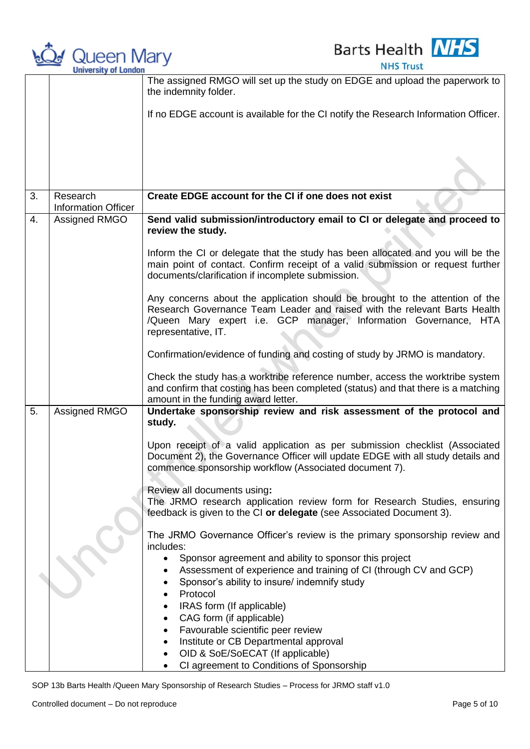

**Barts Health NHS NHS Trust** 

|    | <u>UMBER ORD UN LUMBUR</u>             |                                                                                                                                                                                                                                                      |
|----|----------------------------------------|------------------------------------------------------------------------------------------------------------------------------------------------------------------------------------------------------------------------------------------------------|
|    |                                        | The assigned RMGO will set up the study on EDGE and upload the paperwork to<br>the indemnity folder.                                                                                                                                                 |
|    |                                        | If no EDGE account is available for the CI notify the Research Information Officer.                                                                                                                                                                  |
|    |                                        |                                                                                                                                                                                                                                                      |
|    |                                        |                                                                                                                                                                                                                                                      |
|    |                                        |                                                                                                                                                                                                                                                      |
| 3. | Research<br><b>Information Officer</b> | Create EDGE account for the CI if one does not exist                                                                                                                                                                                                 |
| 4. | Assigned RMGO                          | Send valid submission/introductory email to CI or delegate and proceed to<br>review the study.                                                                                                                                                       |
|    |                                        | Inform the CI or delegate that the study has been allocated and you will be the<br>main point of contact. Confirm receipt of a valid submission or request further<br>documents/clarification if incomplete submission.                              |
|    |                                        | Any concerns about the application should be brought to the attention of the<br>Research Governance Team Leader and raised with the relevant Barts Health<br>/Queen Mary expert i.e. GCP manager, Information Governance, HTA<br>representative, IT. |
|    |                                        | Confirmation/evidence of funding and costing of study by JRMO is mandatory.                                                                                                                                                                          |
|    |                                        | Check the study has a worktribe reference number, access the worktribe system<br>and confirm that costing has been completed (status) and that there is a matching<br>amount in the funding award letter.                                            |
| 5. | Assigned RMGO                          | Undertake sponsorship review and risk assessment of the protocol and<br>study.                                                                                                                                                                       |
|    |                                        | Upon receipt of a valid application as per submission checklist (Associated<br>Document 2), the Governance Officer will update EDGE with all study details and<br>commence sponsorship workflow (Associated document 7).                             |
|    |                                        | Review all documents using:                                                                                                                                                                                                                          |
|    |                                        | The JRMO research application review form for Research Studies, ensuring<br>feedback is given to the CI or delegate (see Associated Document 3).                                                                                                     |
|    |                                        | The JRMO Governance Officer's review is the primary sponsorship review and<br>includes:                                                                                                                                                              |
|    |                                        | Sponsor agreement and ability to sponsor this project                                                                                                                                                                                                |
|    |                                        | Assessment of experience and training of CI (through CV and GCP)                                                                                                                                                                                     |
|    |                                        | Sponsor's ability to insure/ indemnify study                                                                                                                                                                                                         |
|    |                                        | Protocol                                                                                                                                                                                                                                             |
|    |                                        | IRAS form (If applicable)<br>CAG form (if applicable)                                                                                                                                                                                                |
|    |                                        | Favourable scientific peer review                                                                                                                                                                                                                    |
|    |                                        | Institute or CB Departmental approval                                                                                                                                                                                                                |
|    |                                        | OID & SoE/SoECAT (If applicable)                                                                                                                                                                                                                     |
|    |                                        | CI agreement to Conditions of Sponsorship                                                                                                                                                                                                            |

SOP 13b Barts Health /Queen Mary Sponsorship of Research Studies – Process for JRMO staff v1.0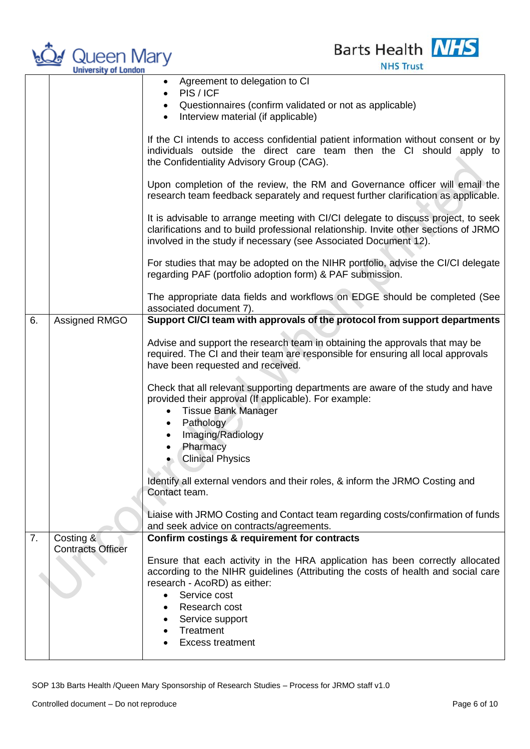



|    |                                       | Agreement to delegation to CI<br>$\bullet$<br>PIS/ICF                                                                                                                                                                                          |
|----|---------------------------------------|------------------------------------------------------------------------------------------------------------------------------------------------------------------------------------------------------------------------------------------------|
|    |                                       | Questionnaires (confirm validated or not as applicable)<br>$\bullet$                                                                                                                                                                           |
|    |                                       | Interview material (if applicable)<br>$\bullet$                                                                                                                                                                                                |
|    |                                       | If the CI intends to access confidential patient information without consent or by<br>individuals outside the direct care team then the CI should apply to<br>the Confidentiality Advisory Group (CAG).                                        |
|    |                                       | Upon completion of the review, the RM and Governance officer will email the<br>research team feedback separately and request further clarification as applicable.                                                                              |
|    |                                       | It is advisable to arrange meeting with CI/CI delegate to discuss project, to seek<br>clarifications and to build professional relationship. Invite other sections of JRMO<br>involved in the study if necessary (see Associated Document 12). |
|    |                                       | For studies that may be adopted on the NIHR portfolio, advise the CI/CI delegate<br>regarding PAF (portfolio adoption form) & PAF submission.                                                                                                  |
|    |                                       | The appropriate data fields and workflows on EDGE should be completed (See<br>associated document 7).                                                                                                                                          |
| 6. | Assigned RMGO                         | Support CI/CI team with approvals of the protocol from support departments                                                                                                                                                                     |
|    |                                       | Advise and support the research team in obtaining the approvals that may be<br>required. The CI and their team are responsible for ensuring all local approvals<br>have been requested and received.                                           |
|    |                                       | Check that all relevant supporting departments are aware of the study and have<br>provided their approval (If applicable). For example:<br><b>Tissue Bank Manager</b><br>$\bullet$<br>Pathology<br>$\bullet$<br>Imaging/Radiology<br>Pharmacy  |
|    |                                       | <b>Clinical Physics</b>                                                                                                                                                                                                                        |
|    |                                       | Identify all external vendors and their roles, & inform the JRMO Costing and<br>Contact team.                                                                                                                                                  |
|    |                                       | Liaise with JRMO Costing and Contact team regarding costs/confirmation of funds<br>and seek advice on contracts/agreements.                                                                                                                    |
| 7. | Costing &<br><b>Contracts Officer</b> | Confirm costings & requirement for contracts                                                                                                                                                                                                   |
|    |                                       | Ensure that each activity in the HRA application has been correctly allocated<br>according to the NIHR guidelines (Attributing the costs of health and social care<br>research - AcoRD) as either:<br>Service cost<br>$\bullet$                |
|    |                                       | Research cost                                                                                                                                                                                                                                  |
|    |                                       | Service support<br>Treatment                                                                                                                                                                                                                   |
|    |                                       | <b>Excess treatment</b>                                                                                                                                                                                                                        |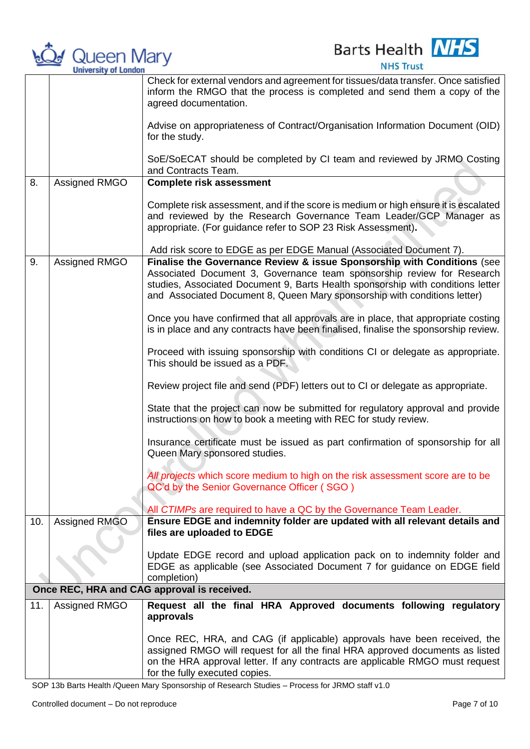

**Barts Health NHS** 

**NHS Trust** 

|     |               | Check for external vendors and agreement for tissues/data transfer. Once satisfied<br>inform the RMGO that the process is completed and send them a copy of the<br>agreed documentation.                                                                                                                          |
|-----|---------------|-------------------------------------------------------------------------------------------------------------------------------------------------------------------------------------------------------------------------------------------------------------------------------------------------------------------|
|     |               | Advise on appropriateness of Contract/Organisation Information Document (OID)<br>for the study.                                                                                                                                                                                                                   |
|     |               | SoE/SoECAT should be completed by CI team and reviewed by JRMO Costing<br>and Contracts Team.                                                                                                                                                                                                                     |
| 8.  | Assigned RMGO | <b>Complete risk assessment</b>                                                                                                                                                                                                                                                                                   |
|     |               | Complete risk assessment, and if the score is medium or high ensure it is escalated<br>and reviewed by the Research Governance Team Leader/GCP Manager as<br>appropriate. (For guidance refer to SOP 23 Risk Assessment).                                                                                         |
|     |               | Add risk score to EDGE as per EDGE Manual (Associated Document 7).                                                                                                                                                                                                                                                |
| 9.  | Assigned RMGO | Finalise the Governance Review & issue Sponsorship with Conditions (see<br>Associated Document 3, Governance team sponsorship review for Research<br>studies, Associated Document 9, Barts Health sponsorship with conditions letter<br>and Associated Document 8, Queen Mary sponsorship with conditions letter) |
|     |               | Once you have confirmed that all approvals are in place, that appropriate costing<br>is in place and any contracts have been finalised, finalise the sponsorship review.                                                                                                                                          |
|     |               | Proceed with issuing sponsorship with conditions CI or delegate as appropriate.<br>This should be issued as a PDF.                                                                                                                                                                                                |
|     |               | Review project file and send (PDF) letters out to CI or delegate as appropriate.                                                                                                                                                                                                                                  |
|     |               | State that the project can now be submitted for regulatory approval and provide<br>instructions on how to book a meeting with REC for study review.                                                                                                                                                               |
|     |               | Insurance certificate must be issued as part confirmation of sponsorship for all<br>Queen Mary sponsored studies.                                                                                                                                                                                                 |
|     |               | All projects which score medium to high on the risk assessment score are to be<br>QC'd by the Senior Governance Officer (SGO)                                                                                                                                                                                     |
|     |               | All CTIMPs are required to have a QC by the Governance Team Leader.                                                                                                                                                                                                                                               |
| 10. | Assigned RMGO | Ensure EDGE and indemnity folder are updated with all relevant details and<br>files are uploaded to EDGE                                                                                                                                                                                                          |
|     |               | Update EDGE record and upload application pack on to indemnity folder and<br>EDGE as applicable (see Associated Document 7 for guidance on EDGE field<br>completion)                                                                                                                                              |
|     |               | Once REC, HRA and CAG approval is received.                                                                                                                                                                                                                                                                       |
| 11. | Assigned RMGO | Request all the final HRA Approved documents following regulatory<br>approvals                                                                                                                                                                                                                                    |
|     |               | Once REC, HRA, and CAG (if applicable) approvals have been received, the<br>assigned RMGO will request for all the final HRA approved documents as listed<br>on the HRA approval letter. If any contracts are applicable RMGO must request<br>for the fully executed copies.                                      |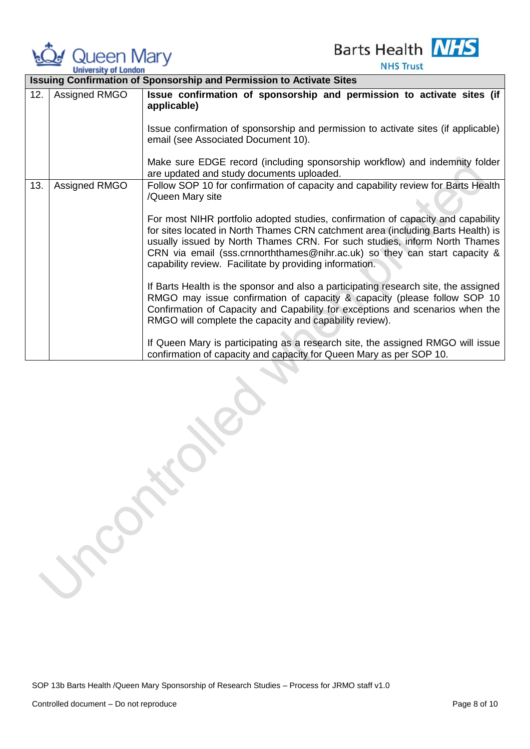

**Barts Health NHS** 

**NHS Trust** 

|     |               | <b>Issuing Confirmation of Sponsorship and Permission to Activate Sites</b>                                                                                                                                                                                                                                                                                                                |
|-----|---------------|--------------------------------------------------------------------------------------------------------------------------------------------------------------------------------------------------------------------------------------------------------------------------------------------------------------------------------------------------------------------------------------------|
| 12. | Assigned RMGO | Issue confirmation of sponsorship and permission to activate sites (if<br>applicable)                                                                                                                                                                                                                                                                                                      |
|     |               | Issue confirmation of sponsorship and permission to activate sites (if applicable)<br>email (see Associated Document 10).                                                                                                                                                                                                                                                                  |
|     |               | Make sure EDGE record (including sponsorship workflow) and indemnity folder<br>are updated and study documents uploaded.                                                                                                                                                                                                                                                                   |
| 13. | Assigned RMGO | Follow SOP 10 for confirmation of capacity and capability review for Barts Health<br>/Queen Mary site                                                                                                                                                                                                                                                                                      |
|     |               | For most NIHR portfolio adopted studies, confirmation of capacity and capability<br>for sites located in North Thames CRN catchment area (including Barts Health) is<br>usually issued by North Thames CRN. For such studies, inform North Thames<br>CRN via email (sss.crnnorththames@nihr.ac.uk) so they can start capacity &<br>capability review. Facilitate by providing information. |
|     |               | If Barts Health is the sponsor and also a participating research site, the assigned<br>RMGO may issue confirmation of capacity & capacity (please follow SOP 10<br>Confirmation of Capacity and Capability for exceptions and scenarios when the<br>RMGO will complete the capacity and capability review).                                                                                |
|     |               | If Queen Mary is participating as a research site, the assigned RMGO will issue<br>confirmation of capacity and capacity for Queen Mary as per SOP 10.                                                                                                                                                                                                                                     |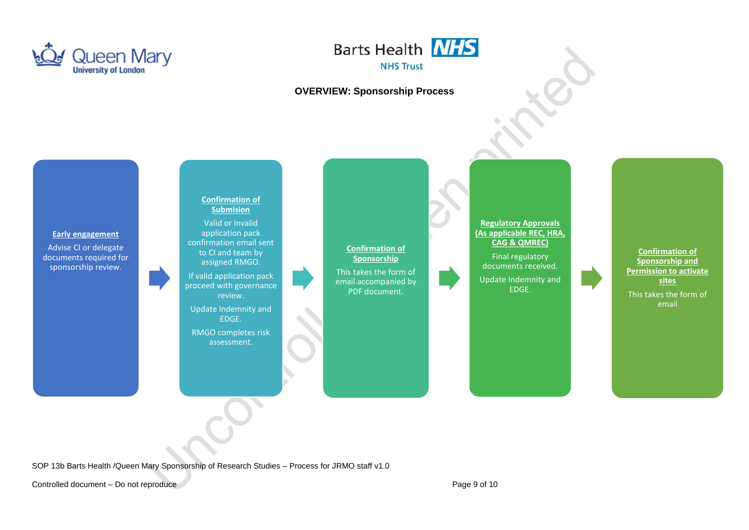



## **OVERVIEW: Sponsorship Process**



SOP 13b Barts Health /Queen Mary Sponsorship of Research Studies – Process for JRMO staff v1.0

Controlled document – Do not reproduce Page 9 of 10